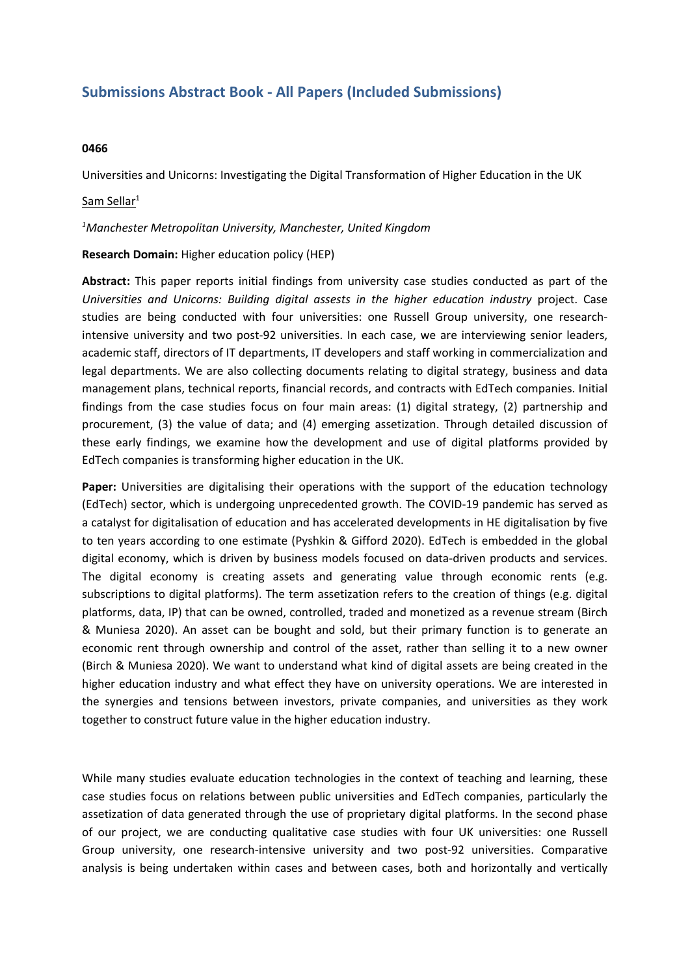# **Submissions Abstract Book - All Papers (Included Submissions)**

### **0466**

Universities and Unicorns: Investigating the Digital Transformation of Higher Education in the UK

## Sam Sellar $^{\rm 1}$

### *<sup>1</sup>Manchester Metropolitan University, Manchester, United Kingdom*

## **Research Domain:** Higher education policy (HEP)

**Abstract:** This paper reports initial findings from university case studies conducted as part of the *Universities and Unicorns: Building digital assests in the higher education industry* project. Case studies are being conducted with four universities: one Russell Group university, one researchintensive university and two post-92 universities. In each case, we are interviewing senior leaders, academic staff, directors of IT departments, IT developers and staff working in commercialization and legal departments. We are also collecting documents relating to digital strategy, business and data management plans, technical reports, financial records, and contracts with EdTech companies. Initial findings from the case studies focus on four main areas: (1) digital strategy, (2) partnership and procurement, (3) the value of data; and (4) emerging assetization. Through detailed discussion of these early findings, we examine how the development and use of digital platforms provided by EdTech companies is transforming higher education in the UK.

**Paper:** Universities are digitalising their operations with the support of the education technology (EdTech) sector, which is undergoing unprecedented growth. The COVID-19 pandemic has served as <sup>a</sup> catalyst for digitalisation of education and has accelerated developments in HE digitalisation by five to ten years according to one estimate (Pyshkin & Gifford 2020). EdTech is embedded in the global digital economy, which is driven by business models focused on data-driven products and services. The digital economy is creating assets and generating value through economic rents (e.g. subscriptions to digital platforms). The term assetization refers to the creation of things (e.g. digital platforms, data, IP) that can be owned, controlled, traded and monetized as <sup>a</sup> revenue stream (Birch & Muniesa 2020). An asset can be bought and sold, but their primary function is to generate an economic rent through ownership and control of the asset, rather than selling it to <sup>a</sup> new owner (Birch & Muniesa 2020). We want to understand what kind of digital assets are being created in the higher education industry and what effect they have on university operations. We are interested in the synergies and tensions between investors, private companies, and universities as they work together to construct future value in the higher education industry.

While many studies evaluate education technologies in the context of teaching and learning, these case studies focus on relations between public universities and EdTech companies, particularly the assetization of data generated through the use of proprietary digital platforms. In the second phase of our project, we are conducting qualitative case studies with four UK universities: one Russell Group university, one research-intensive university and two post-92 universities. Comparative analysis is being undertaken within cases and between cases, both and horizontally and vertically